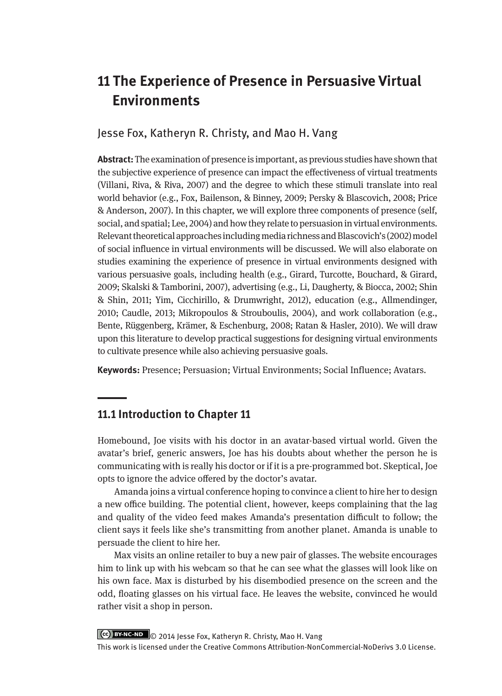# **11 The Experience of Presence in Persuasive Virtual Environments**

Jesse Fox, Katheryn R. Christy, and Mao H. Vang

**Abstract:** The examination of presence is important, as previous studies have shown that the subjective experience of presence can impact the effectiveness of virtual treatments (Villani, Riva, & Riva, 2007) and the degree to which these stimuli translate into real world behavior (e.g., Fox, Bailenson, & Binney, 2009; Persky & Blascovich, 2008; Price & Anderson, 2007). In this chapter, we will explore three components of presence (self, social, and spatial; Lee, 2004) and how they relate to persuasion in virtual environments. Relevant theoretical approaches including media richness and Blascovich's (2002) model of social influence in virtual environments will be discussed. We will also elaborate on studies examining the experience of presence in virtual environments designed with various persuasive goals, including health (e.g., Girard, Turcotte, Bouchard, & Girard, 2009; Skalski & Tamborini, 2007), advertising (e.g., Li, Daugherty, & Biocca, 2002; Shin & Shin, 2011; Yim, Cicchirillo, & Drumwright, 2012), education (e.g., Allmendinger, 2010; Caudle, 2013; Mikropoulos & Strouboulis, 2004), and work collaboration (e.g., Bente, Rüggenberg, Krämer, & Eschenburg, 2008; Ratan & Hasler, 2010). We will draw upon this literature to develop practical suggestions for designing virtual environments to cultivate presence while also achieving persuasive goals.

**Keywords:** Presence; Persuasion; Virtual Environments; Social Influence; Avatars.

# **11.1 Introduction to Chapter 11**

Homebound, Joe visits with his doctor in an avatar-based virtual world. Given the avatar's brief, generic answers, Joe has his doubts about whether the person he is communicating with is really his doctor or if it is a pre-programmed bot. Skeptical, Joe opts to ignore the advice offered by the doctor's avatar.

Amanda joins a virtual conference hoping to convince a client to hire her to design a new office building. The potential client, however, keeps complaining that the lag and quality of the video feed makes Amanda's presentation difficult to follow; the client says it feels like she's transmitting from another planet. Amanda is unable to persuade the client to hire her.

Max visits an online retailer to buy a new pair of glasses. The website encourages him to link up with his webcam so that he can see what the glasses will look like on his own face. Max is disturbed by his disembodied presence on the screen and the odd, floating glasses on his virtual face. He leaves the website, convinced he would rather visit a shop in person.

© 2014 Jesse Fox, Katheryn R. Christy, Mao H. Vang

This work is licensed under the Creative Commons Attribution-NonCommercial-NoDerivs 3.0 License.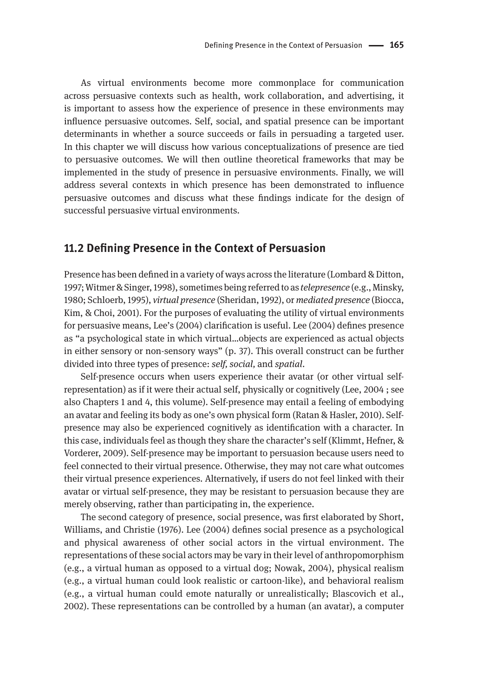As virtual environments become more commonplace for communication across persuasive contexts such as health, work collaboration, and advertising, it is important to assess how the experience of presence in these environments may influence persuasive outcomes. Self, social, and spatial presence can be important determinants in whether a source succeeds or fails in persuading a targeted user. In this chapter we will discuss how various conceptualizations of presence are tied to persuasive outcomes. We will then outline theoretical frameworks that may be implemented in the study of presence in persuasive environments. Finally, we will address several contexts in which presence has been demonstrated to influence persuasive outcomes and discuss what these findings indicate for the design of successful persuasive virtual environments.

# **11.2 Defining Presence in the Context of Persuasion**

Presence has been defined in a variety of ways across the literature (Lombard & Ditton, 1997; Witmer & Singer, 1998), sometimes being referred to as *telepresence* (e.g., Minsky, 1980; Schloerb, 1995), *virtual presence* (Sheridan, 1992), or *mediated presence* (Biocca, Kim, & Choi, 2001). For the purposes of evaluating the utility of virtual environments for persuasive means, Lee's (2004) clarification is useful. Lee (2004) defines presence as "a psychological state in which virtual…objects are experienced as actual objects in either sensory or non-sensory ways" (p. 37). This overall construct can be further divided into three types of presence: *self, social,* and *spatial*.

Self-presence occurs when users experience their avatar (or other virtual selfrepresentation) as if it were their actual self, physically or cognitively (Lee, 2004 ; see also Chapters 1 and 4, this volume). Self-presence may entail a feeling of embodying an avatar and feeling its body as one's own physical form (Ratan & Hasler, 2010). Selfpresence may also be experienced cognitively as identification with a character. In this case, individuals feel as though they share the character's self (Klimmt, Hefner, & Vorderer, 2009). Self-presence may be important to persuasion because users need to feel connected to their virtual presence. Otherwise, they may not care what outcomes their virtual presence experiences. Alternatively, if users do not feel linked with their avatar or virtual self-presence, they may be resistant to persuasion because they are merely observing, rather than participating in, the experience.

The second category of presence, social presence, was first elaborated by Short, Williams, and Christie (1976). Lee (2004) defines social presence as a psychological and physical awareness of other social actors in the virtual environment. The representations of these social actors may be vary in their level of anthropomorphism (e.g., a virtual human as opposed to a virtual dog; Nowak, 2004), physical realism (e.g., a virtual human could look realistic or cartoon-like), and behavioral realism (e.g., a virtual human could emote naturally or unrealistically; Blascovich et al., 2002). These representations can be controlled by a human (an avatar), a computer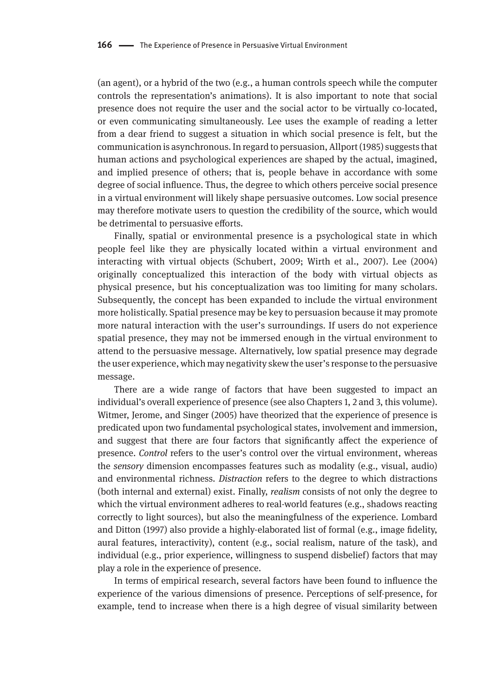(an agent), or a hybrid of the two (e.g., a human controls speech while the computer controls the representation's animations). It is also important to note that social presence does not require the user and the social actor to be virtually co-located, or even communicating simultaneously. Lee uses the example of reading a letter from a dear friend to suggest a situation in which social presence is felt, but the communication is asynchronous. In regard to persuasion, Allport (1985) suggests that human actions and psychological experiences are shaped by the actual, imagined, and implied presence of others; that is, people behave in accordance with some degree of social influence. Thus, the degree to which others perceive social presence in a virtual environment will likely shape persuasive outcomes. Low social presence may therefore motivate users to question the credibility of the source, which would be detrimental to persuasive efforts.

Finally, spatial or environmental presence is a psychological state in which people feel like they are physically located within a virtual environment and interacting with virtual objects (Schubert, 2009; Wirth et al., 2007). Lee (2004) originally conceptualized this interaction of the body with virtual objects as physical presence, but his conceptualization was too limiting for many scholars. Subsequently, the concept has been expanded to include the virtual environment more holistically. Spatial presence may be key to persuasion because it may promote more natural interaction with the user's surroundings. If users do not experience spatial presence, they may not be immersed enough in the virtual environment to attend to the persuasive message. Alternatively, low spatial presence may degrade the user experience, which may negativity skew the user's response to the persuasive message.

There are a wide range of factors that have been suggested to impact an individual's overall experience of presence (see also Chapters 1, 2 and 3, this volume). Witmer, Jerome, and Singer (2005) have theorized that the experience of presence is predicated upon two fundamental psychological states, involvement and immersion, and suggest that there are four factors that significantly affect the experience of presence. *Control* refers to the user's control over the virtual environment, whereas the *sensory* dimension encompasses features such as modality (e.g., visual, audio) and environmental richness. *Distraction* refers to the degree to which distractions (both internal and external) exist. Finally, *realism* consists of not only the degree to which the virtual environment adheres to real-world features (e.g., shadows reacting correctly to light sources), but also the meaningfulness of the experience. Lombard and Ditton (1997) also provide a highly-elaborated list of formal (e.g., image fidelity, aural features, interactivity), content (e.g., social realism, nature of the task), and individual (e.g., prior experience, willingness to suspend disbelief) factors that may play a role in the experience of presence.

In terms of empirical research, several factors have been found to influence the experience of the various dimensions of presence. Perceptions of self-presence, for example, tend to increase when there is a high degree of visual similarity between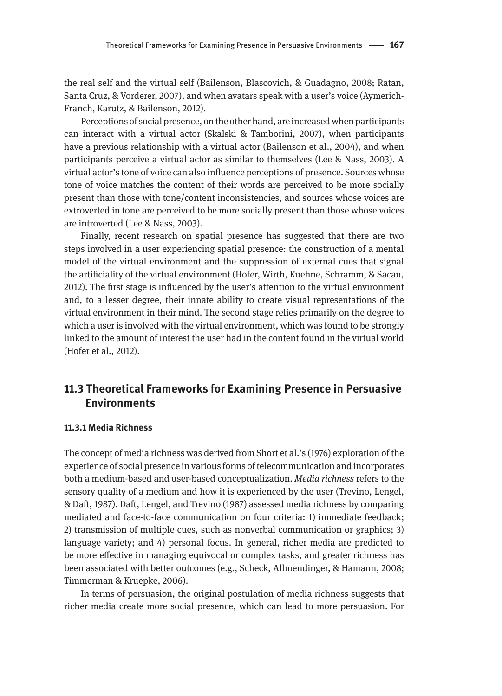the real self and the virtual self (Bailenson, Blascovich, & Guadagno, 2008; Ratan, Santa Cruz, & Vorderer, 2007), and when avatars speak with a user's voice (Aymerich-Franch, Karutz, & Bailenson, 2012).

Perceptions of social presence, on the other hand, are increased when participants can interact with a virtual actor (Skalski & Tamborini, 2007), when participants have a previous relationship with a virtual actor (Bailenson et al., 2004), and when participants perceive a virtual actor as similar to themselves (Lee & Nass, 2003). A virtual actor's tone of voice can also influence perceptions of presence. Sources whose tone of voice matches the content of their words are perceived to be more socially present than those with tone/content inconsistencies, and sources whose voices are extroverted in tone are perceived to be more socially present than those whose voices are introverted (Lee & Nass, 2003).

Finally, recent research on spatial presence has suggested that there are two steps involved in a user experiencing spatial presence: the construction of a mental model of the virtual environment and the suppression of external cues that signal the artificiality of the virtual environment (Hofer, Wirth, Kuehne, Schramm, & Sacau, 2012). The first stage is influenced by the user's attention to the virtual environment and, to a lesser degree, their innate ability to create visual representations of the virtual environment in their mind. The second stage relies primarily on the degree to which a user is involved with the virtual environment, which was found to be strongly linked to the amount of interest the user had in the content found in the virtual world (Hofer et al., 2012).

# **11.3 Theoretical Frameworks for Examining Presence in Persuasive Environments**

## **11.3.1 Media Richness**

The concept of media richness was derived from Short et al.'s (1976) exploration of the experience of social presence in various forms of telecommunication and incorporates both a medium-based and user-based conceptualization. *Media richness* refers to the sensory quality of a medium and how it is experienced by the user (Trevino, Lengel, & Daft, 1987). Daft, Lengel, and Trevino (1987) assessed media richness by comparing mediated and face-to-face communication on four criteria: 1) immediate feedback; 2) transmission of multiple cues, such as nonverbal communication or graphics; 3) language variety; and 4) personal focus. In general, richer media are predicted to be more effective in managing equivocal or complex tasks, and greater richness has been associated with better outcomes (e.g., Scheck, Allmendinger, & Hamann, 2008; Timmerman & Kruepke, 2006).

In terms of persuasion, the original postulation of media richness suggests that richer media create more social presence, which can lead to more persuasion. For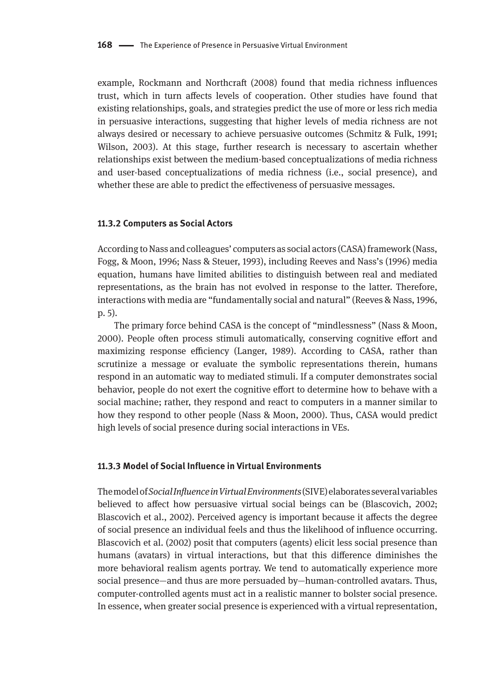example, Rockmann and Northcraft (2008) found that media richness influences trust, which in turn affects levels of cooperation. Other studies have found that existing relationships, goals, and strategies predict the use of more or less rich media in persuasive interactions, suggesting that higher levels of media richness are not always desired or necessary to achieve persuasive outcomes (Schmitz & Fulk, 1991; Wilson, 2003). At this stage, further research is necessary to ascertain whether relationships exist between the medium-based conceptualizations of media richness and user-based conceptualizations of media richness (i.e., social presence), and whether these are able to predict the effectiveness of persuasive messages.

#### **11.3.2 Computers as Social Actors**

According to Nass and colleagues' computers as social actors (CASA) framework (Nass, Fogg, & Moon, 1996; Nass & Steuer, 1993), including Reeves and Nass's (1996) media equation, humans have limited abilities to distinguish between real and mediated representations, as the brain has not evolved in response to the latter. Therefore, interactions with media are "fundamentally social and natural" (Reeves & Nass, 1996, p. 5).

The primary force behind CASA is the concept of "mindlessness" (Nass & Moon, 2000). People often process stimuli automatically, conserving cognitive effort and maximizing response efficiency (Langer, 1989). According to CASA, rather than scrutinize a message or evaluate the symbolic representations therein, humans respond in an automatic way to mediated stimuli. If a computer demonstrates social behavior, people do not exert the cognitive effort to determine how to behave with a social machine; rather, they respond and react to computers in a manner similar to how they respond to other people (Nass & Moon, 2000). Thus, CASA would predict high levels of social presence during social interactions in VEs.

## **11.3.3 Model of Social Influence in Virtual Environments**

The model of *Social Influence in Virtual Environments* (SIVE) elaborates several variables believed to affect how persuasive virtual social beings can be (Blascovich, 2002; Blascovich et al., 2002). Perceived agency is important because it affects the degree of social presence an individual feels and thus the likelihood of influence occurring. Blascovich et al. (2002) posit that computers (agents) elicit less social presence than humans (avatars) in virtual interactions, but that this difference diminishes the more behavioral realism agents portray. We tend to automatically experience more social presence—and thus are more persuaded by—human-controlled avatars. Thus, computer-controlled agents must act in a realistic manner to bolster social presence. In essence, when greater social presence is experienced with a virtual representation,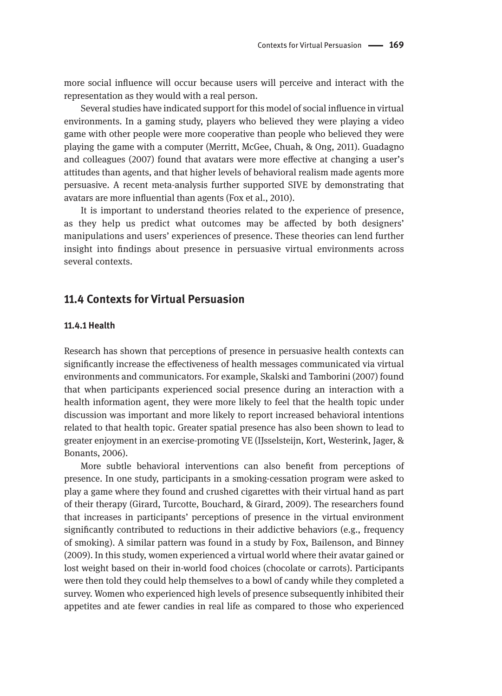more social influence will occur because users will perceive and interact with the representation as they would with a real person.

Several studies have indicated support for this model of social influence in virtual environments. In a gaming study, players who believed they were playing a video game with other people were more cooperative than people who believed they were playing the game with a computer (Merritt, McGee, Chuah, & Ong, 2011). Guadagno and colleagues (2007) found that avatars were more effective at changing a user's attitudes than agents, and that higher levels of behavioral realism made agents more persuasive. A recent meta-analysis further supported SIVE by demonstrating that avatars are more influential than agents (Fox et al., 2010).

It is important to understand theories related to the experience of presence, as they help us predict what outcomes may be affected by both designers' manipulations and users' experiences of presence. These theories can lend further insight into findings about presence in persuasive virtual environments across several contexts.

# **11.4 Contexts for Virtual Persuasion**

#### **11.4.1 Health**

Research has shown that perceptions of presence in persuasive health contexts can significantly increase the effectiveness of health messages communicated via virtual environments and communicators. For example, Skalski and Tamborini (2007) found that when participants experienced social presence during an interaction with a health information agent, they were more likely to feel that the health topic under discussion was important and more likely to report increased behavioral intentions related to that health topic. Greater spatial presence has also been shown to lead to greater enjoyment in an exercise-promoting VE (IJsselsteijn, Kort, Westerink, Jager, & Bonants, 2006).

More subtle behavioral interventions can also benefit from perceptions of presence. In one study, participants in a smoking-cessation program were asked to play a game where they found and crushed cigarettes with their virtual hand as part of their therapy (Girard, Turcotte, Bouchard, & Girard, 2009). The researchers found that increases in participants' perceptions of presence in the virtual environment significantly contributed to reductions in their addictive behaviors (e.g., frequency of smoking). A similar pattern was found in a study by Fox, Bailenson, and Binney (2009). In this study, women experienced a virtual world where their avatar gained or lost weight based on their in-world food choices (chocolate or carrots). Participants were then told they could help themselves to a bowl of candy while they completed a survey. Women who experienced high levels of presence subsequently inhibited their appetites and ate fewer candies in real life as compared to those who experienced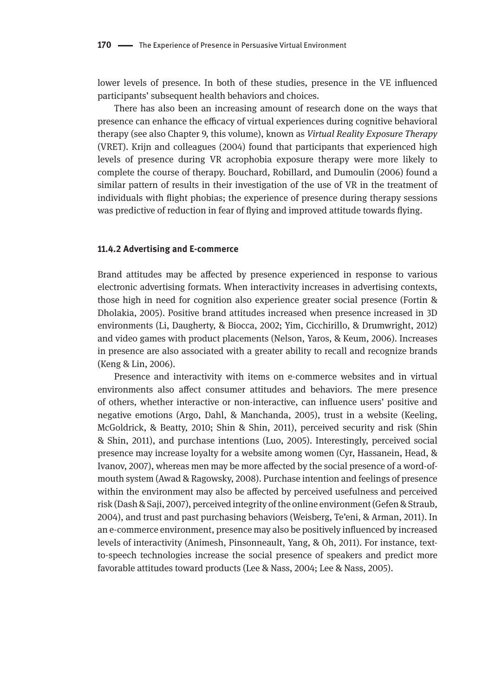lower levels of presence. In both of these studies, presence in the VE influenced participants' subsequent health behaviors and choices.

There has also been an increasing amount of research done on the ways that presence can enhance the efficacy of virtual experiences during cognitive behavioral therapy (see also Chapter 9, this volume), known as *Virtual Reality Exposure Therapy* (VRET). Krijn and colleagues (2004) found that participants that experienced high levels of presence during VR acrophobia exposure therapy were more likely to complete the course of therapy. Bouchard, Robillard, and Dumoulin (2006) found a similar pattern of results in their investigation of the use of VR in the treatment of individuals with flight phobias; the experience of presence during therapy sessions was predictive of reduction in fear of flying and improved attitude towards flying.

#### **11.4.2 Advertising and E-commerce**

Brand attitudes may be affected by presence experienced in response to various electronic advertising formats. When interactivity increases in advertising contexts, those high in need for cognition also experience greater social presence (Fortin & Dholakia, 2005). Positive brand attitudes increased when presence increased in 3D environments (Li, Daugherty, & Biocca, 2002; Yim, Cicchirillo, & Drumwright, 2012) and video games with product placements (Nelson, Yaros, & Keum, 2006). Increases in presence are also associated with a greater ability to recall and recognize brands (Keng & Lin, 2006).

Presence and interactivity with items on e-commerce websites and in virtual environments also affect consumer attitudes and behaviors. The mere presence of others, whether interactive or non-interactive, can influence users' positive and negative emotions (Argo, Dahl, & Manchanda, 2005), trust in a website (Keeling, McGoldrick, & Beatty, 2010; Shin & Shin, 2011), perceived security and risk (Shin & Shin, 2011), and purchase intentions (Luo, 2005). Interestingly, perceived social presence may increase loyalty for a website among women (Cyr, Hassanein, Head, & Ivanov, 2007), whereas men may be more affected by the social presence of a word-ofmouth system (Awad & Ragowsky, 2008). Purchase intention and feelings of presence within the environment may also be affected by perceived usefulness and perceived risk (Dash & Saji, 2007), perceived integrity of the online environment (Gefen & Straub, 2004), and trust and past purchasing behaviors (Weisberg, Te'eni, & Arman, 2011). In an e-commerce environment, presence may also be positively influenced by increased levels of interactivity (Animesh, Pinsonneault, Yang, & Oh, 2011). For instance, textto-speech technologies increase the social presence of speakers and predict more favorable attitudes toward products (Lee & Nass, 2004; Lee & Nass, 2005).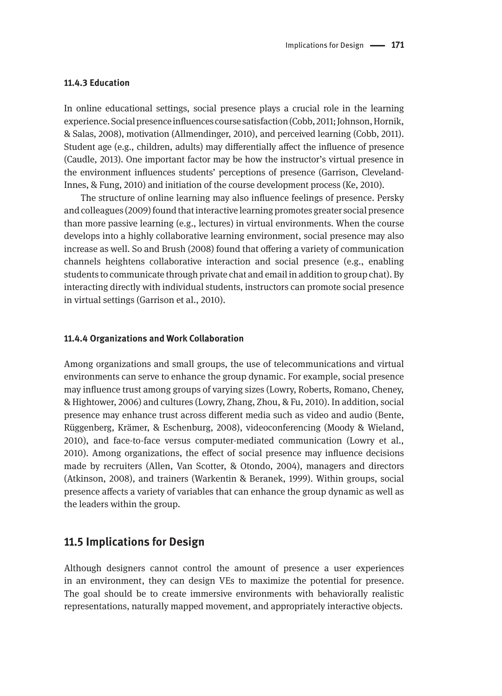#### **11.4.3 Education**

In online educational settings, social presence plays a crucial role in the learning experience. Social presence influences course satisfaction (Cobb, 2011; Johnson, Hornik, & Salas, 2008), motivation (Allmendinger, 2010), and perceived learning (Cobb, 2011). Student age (e.g., children, adults) may differentially affect the influence of presence (Caudle, 2013). One important factor may be how the instructor's virtual presence in the environment influences students' perceptions of presence (Garrison, Cleveland-Innes, & Fung, 2010) and initiation of the course development process (Ke, 2010).

The structure of online learning may also influence feelings of presence. Persky and colleagues (2009) found that interactive learning promotes greater social presence than more passive learning (e.g., lectures) in virtual environments. When the course develops into a highly collaborative learning environment, social presence may also increase as well. So and Brush (2008) found that offering a variety of communication channels heightens collaborative interaction and social presence (e.g., enabling students to communicate through private chat and email in addition to group chat). By interacting directly with individual students, instructors can promote social presence in virtual settings (Garrison et al., 2010).

#### **11.4.4 Organizations and Work Collaboration**

Among organizations and small groups, the use of telecommunications and virtual environments can serve to enhance the group dynamic. For example, social presence may influence trust among groups of varying sizes (Lowry, Roberts, Romano, Cheney, & Hightower, 2006) and cultures (Lowry, Zhang, Zhou, & Fu, 2010). In addition, social presence may enhance trust across different media such as video and audio (Bente, Rüggenberg, Krämer, & Eschenburg, 2008), videoconferencing (Moody & Wieland, 2010), and face-to-face versus computer-mediated communication (Lowry et al., 2010). Among organizations, the effect of social presence may influence decisions made by recruiters (Allen, Van Scotter, & Otondo, 2004), managers and directors (Atkinson, 2008), and trainers (Warkentin & Beranek, 1999). Within groups, social presence affects a variety of variables that can enhance the group dynamic as well as the leaders within the group.

### **11.5 Implications for Design**

Although designers cannot control the amount of presence a user experiences in an environment, they can design VEs to maximize the potential for presence. The goal should be to create immersive environments with behaviorally realistic representations, naturally mapped movement, and appropriately interactive objects.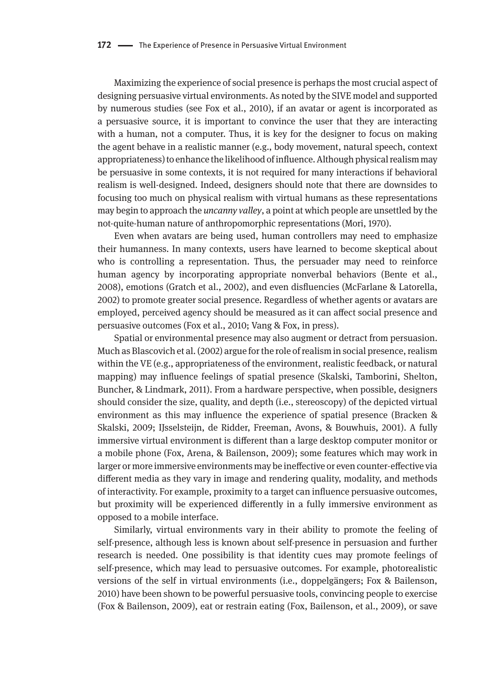Maximizing the experience of social presence is perhaps the most crucial aspect of designing persuasive virtual environments. As noted by the SIVE model and supported by numerous studies (see Fox et al., 2010), if an avatar or agent is incorporated as a persuasive source, it is important to convince the user that they are interacting with a human, not a computer. Thus, it is key for the designer to focus on making the agent behave in a realistic manner (e.g., body movement, natural speech, context appropriateness) to enhance the likelihood of influence. Although physical realism may be persuasive in some contexts, it is not required for many interactions if behavioral realism is well-designed. Indeed, designers should note that there are downsides to focusing too much on physical realism with virtual humans as these representations may begin to approach the *uncanny valley*, a point at which people are unsettled by the not-quite-human nature of anthropomorphic representations (Mori, 1970).

Even when avatars are being used, human controllers may need to emphasize their humanness. In many contexts, users have learned to become skeptical about who is controlling a representation. Thus, the persuader may need to reinforce human agency by incorporating appropriate nonverbal behaviors (Bente et al., 2008), emotions (Gratch et al., 2002), and even disfluencies (McFarlane & Latorella, 2002) to promote greater social presence. Regardless of whether agents or avatars are employed, perceived agency should be measured as it can affect social presence and persuasive outcomes (Fox et al., 2010; Vang & Fox, in press).

Spatial or environmental presence may also augment or detract from persuasion. Much as Blascovich et al. (2002) argue for the role of realism in social presence, realism within the VE (e.g., appropriateness of the environment, realistic feedback, or natural mapping) may influence feelings of spatial presence (Skalski, Tamborini, Shelton, Buncher, & Lindmark, 2011). From a hardware perspective, when possible, designers should consider the size, quality, and depth (i.e., stereoscopy) of the depicted virtual environment as this may influence the experience of spatial presence (Bracken & Skalski, 2009; IJsselsteijn, de Ridder, Freeman, Avons, & Bouwhuis, 2001). A fully immersive virtual environment is different than a large desktop computer monitor or a mobile phone (Fox, Arena, & Bailenson, 2009); some features which may work in larger or more immersive environments may be ineffective or even counter-effective via different media as they vary in image and rendering quality, modality, and methods of interactivity. For example, proximity to a target can influence persuasive outcomes, but proximity will be experienced differently in a fully immersive environment as opposed to a mobile interface.

Similarly, virtual environments vary in their ability to promote the feeling of self-presence, although less is known about self-presence in persuasion and further research is needed. One possibility is that identity cues may promote feelings of self-presence, which may lead to persuasive outcomes. For example, photorealistic versions of the self in virtual environments (i.e., doppelgängers; Fox & Bailenson, 2010) have been shown to be powerful persuasive tools, convincing people to exercise (Fox & Bailenson, 2009), eat or restrain eating (Fox, Bailenson, et al., 2009), or save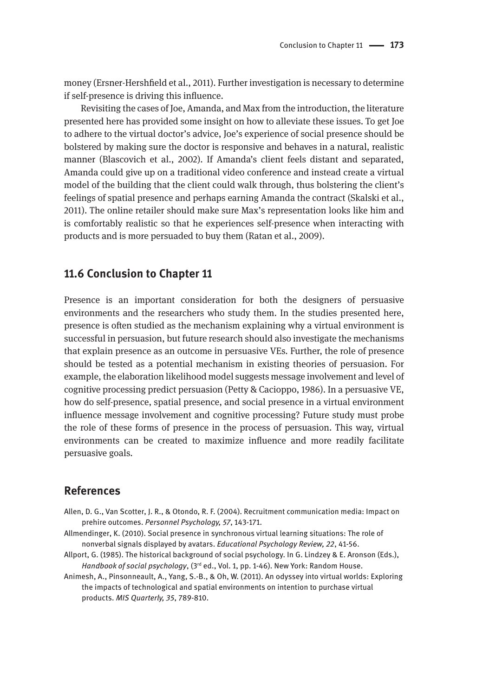money (Ersner-Hershfield et al., 2011). Further investigation is necessary to determine if self-presence is driving this influence.

Revisiting the cases of Joe, Amanda, and Max from the introduction, the literature presented here has provided some insight on how to alleviate these issues. To get Joe to adhere to the virtual doctor's advice, Joe's experience of social presence should be bolstered by making sure the doctor is responsive and behaves in a natural, realistic manner (Blascovich et al., 2002). If Amanda's client feels distant and separated, Amanda could give up on a traditional video conference and instead create a virtual model of the building that the client could walk through, thus bolstering the client's feelings of spatial presence and perhaps earning Amanda the contract (Skalski et al., 2011). The online retailer should make sure Max's representation looks like him and is comfortably realistic so that he experiences self-presence when interacting with products and is more persuaded to buy them (Ratan et al., 2009).

# **11.6 Conclusion to Chapter 11**

Presence is an important consideration for both the designers of persuasive environments and the researchers who study them. In the studies presented here, presence is often studied as the mechanism explaining why a virtual environment is successful in persuasion, but future research should also investigate the mechanisms that explain presence as an outcome in persuasive VEs. Further, the role of presence should be tested as a potential mechanism in existing theories of persuasion. For example, the elaboration likelihood model suggests message involvement and level of cognitive processing predict persuasion (Petty & Cacioppo, 1986). In a persuasive VE, how do self-presence, spatial presence, and social presence in a virtual environment influence message involvement and cognitive processing? Future study must probe the role of these forms of presence in the process of persuasion. This way, virtual environments can be created to maximize influence and more readily facilitate persuasive goals.

# **References**

- Allen, D. G., Van Scotter, J. R., & Otondo, R. F. (2004). Recruitment communication media: Impact on prehire outcomes. *Personnel Psychology, 57*, 143-171.
- Allmendinger, K. (2010). Social presence in synchronous virtual learning situations: The role of nonverbal signals displayed by avatars. *Educational Psychology Review, 22*, 41-56.
- Allport, G. (1985). The historical background of social psychology. In G. Lindzey & E. Aronson (Eds.), *Handbook of social psychology*, (3rd ed., Vol. 1, pp. 1-46). New York: Random House.
- Animesh, A., Pinsonneault, A., Yang, S.-B., & Oh, W. (2011). An odyssey into virtual worlds: Exploring the impacts of technological and spatial environments on intention to purchase virtual products. *MIS Quarterly, 35*, 789-810.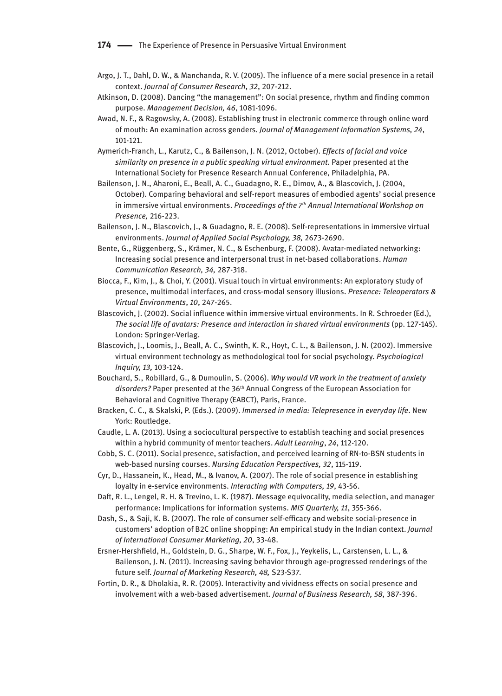**174 —** The Experience of Presence in Persuasive Virtual Environment

- Argo, J. T., Dahl, D. W., & Manchanda, R. V. (2005). The influence of a mere social presence in a retail context. *Journal of Consumer Research*, *32*, 207-212.
- Atkinson, D. (2008). Dancing "the management": On social presence, rhythm and finding common purpose. *Management Decision, 46*, 1081-1096.
- Awad, N. F., & Ragowsky, A. (2008). Establishing trust in electronic commerce through online word of mouth: An examination across genders. *Journal of Management Information Systems, 24*, 101-121.
- Aymerich-Franch, L., Karutz, C., & Bailenson, J. N. (2012, October). *Effects of facial and voice similarity on presence in a public speaking virtual environment*. Paper presented at the International Society for Presence Research Annual Conference, Philadelphia, PA.
- Bailenson, J. N., Aharoni, E., Beall, A. C., Guadagno, R. E., Dimov, A., & Blascovich, J. (2004, October). Comparing behavioral and self-report measures of embodied agents' social presence in immersive virtual environments. *Proceedings of the 7th Annual International Workshop on Presence,* 216-223.
- Bailenson, J. N., Blascovich, J., & Guadagno, R. E. (2008). Self-representations in immersive virtual environments. *Journal of Applied Social Psychology, 38,* 2673-2690.
- Bente, G., Rüggenberg, S., Krämer, N. C., & Eschenburg, F. (2008). Avatar-mediated networking: Increasing social presence and interpersonal trust in net-based collaborations. *Human Communication Research, 34,* 287-318.
- Biocca, F., Kim, J., & Choi, Y. (2001). Visual touch in virtual environments: An exploratory study of presence, multimodal interfaces, and cross-modal sensory illusions. *Presence: Teleoperators & Virtual Environments*, *10*, 247-265.
- Blascovich, J. (2002). Social influence within immersive virtual environments. In R. Schroeder (Ed.), *The social life of avatars: Presence and interaction in shared virtual environments* (pp. 127-145). London: Springer-Verlag.
- Blascovich, J., Loomis, J., Beall, A. C., Swinth, K. R., Hoyt, C. L., & Bailenson, J. N. (2002). Immersive virtual environment technology as methodological tool for social psychology. *Psychological Inquiry, 13,* 103-124.
- Bouchard, S., Robillard, G., & Dumoulin, S. (2006). *Why would VR work in the treatment of anxiety*  disorders? Paper presented at the 36<sup>th</sup> Annual Congress of the European Association for Behavioral and Cognitive Therapy (EABCT), Paris, France.
- Bracken, C. C., & Skalski, P. (Eds.). (2009). *Immersed in media: Telepresence in everyday life*. New York: Routledge.
- Caudle, L. A. (2013). Using a sociocultural perspective to establish teaching and social presences within a hybrid community of mentor teachers. *Adult Learning*, *24*, 112-120.
- Cobb, S. C. (2011). Social presence, satisfaction, and perceived learning of RN-to-BSN students in web-based nursing courses. *Nursing Education Perspectives, 32*, 115-119.
- Cyr, D., Hassanein, K., Head, M., & Ivanov, A. (2007). The role of social presence in establishing loyalty in e-service environments. *Interacting with Computers, 19*, 43-56.
- Daft, R. L., Lengel, R. H. & Trevino, L. K. (1987). Message equivocality, media selection, and manager performance: Implications for information systems. *MIS Quarterly, 11*, 355-366.
- Dash, S., & Saji, K. B. (2007). The role of consumer self-efficacy and website social-presence in customers' adoption of B2C online shopping: An empirical study in the Indian context. *Journal of International Consumer Marketing, 20*, 33-48.
- Ersner-Hershfield, H., Goldstein, D. G., Sharpe, W. F., Fox, J., Yeykelis, L., Carstensen, L. L., & Bailenson, J. N. (2011). Increasing saving behavior through age-progressed renderings of the future self. *Journal of Marketing Research, 48,* S23-S37.
- Fortin, D. R., & Dholakia, R. R. (2005). Interactivity and vividness effects on social presence and involvement with a web-based advertisement. *Journal of Business Research, 58*, 387-396.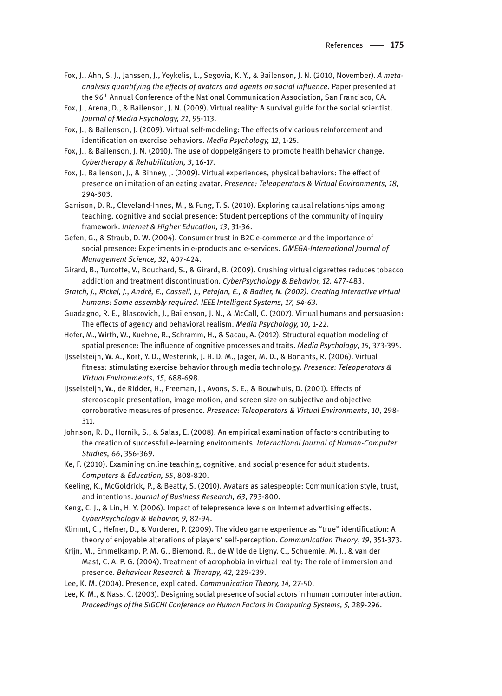- Fox, J., Ahn, S. J., Janssen, J., Yeykelis, L., Segovia, K. Y., & Bailenson, J. N. (2010, November). *A metaanalysis quantifying the effects of avatars and agents on social influence*. Paper presented at the 96th Annual Conference of the National Communication Association, San Francisco, CA.
- Fox, J., Arena, D., & Bailenson, J. N. (2009). Virtual reality: A survival guide for the social scientist. *Journal of Media Psychology, 21*, 95-113.
- Fox, J., & Bailenson, J. (2009). Virtual self-modeling: The effects of vicarious reinforcement and identification on exercise behaviors. *Media Psychology, 12*, 1-25.
- Fox, J., & Bailenson, J. N. (2010). The use of doppelgängers to promote health behavior change. *Cybertherapy & Rehabilitation, 3*, 16-17.
- Fox, J., Bailenson, J., & Binney, J. (2009). Virtual experiences, physical behaviors: The effect of presence on imitation of an eating avatar. *Presence: Teleoperators & Virtual Environments, 18,*  294-303.
- Garrison, D. R., Cleveland-Innes, M., & Fung, T. S. (2010). Exploring causal relationships among teaching, cognitive and social presence: Student perceptions of the community of inquiry framework. *Internet & Higher Education, 13*, 31-36.
- Gefen, G., & Straub, D. W. (2004). Consumer trust in B2C e-commerce and the importance of social presence: Experiments in e-products and e-services. *OMEGA-International Journal of Management Science, 32*, 407-424.
- Girard, B., Turcotte, V., Bouchard, S., & Girard, B. (2009). Crushing virtual cigarettes reduces tobacco addiction and treatment discontinuation. *CyberPsychology & Behavior, 12,* 477-483.
- *Gratch, J., Rickel, J., André, E., Cassell, J., Petajan, E., & Badler, N. (2002). Creating interactive virtual humans: Some assembly required. IEEE Intelligent Systems, 17, 54-63.*
- Guadagno, R. E., Blascovich, J., Bailenson, J. N., & McCall, C. (2007). Virtual humans and persuasion: The effects of agency and behavioral realism. *Media Psychology, 10,* 1-22.
- Hofer, M., Wirth, W., Kuehne, R., Schramm, H., & Sacau, A. (2012). Structural equation modeling of spatial presence: The influence of cognitive processes and traits. *Media Psychology*, *15*, 373-395.
- IJsselsteijn, W. A., Kort, Y. D., Westerink, J. H. D. M., Jager, M. D., & Bonants, R. (2006). Virtual fitness: stimulating exercise behavior through media technology. *Presence: Teleoperators & Virtual Environments*, *15*, 688-698.
- IJsselsteijn, W., de Ridder, H., Freeman, J., Avons, S. E., & Bouwhuis, D. (2001). Effects of stereoscopic presentation, image motion, and screen size on subjective and objective corroborative measures of presence. *Presence: Teleoperators & Virtual Environments*, *10*, 298- 311.
- Johnson, R. D., Hornik, S., & Salas, E. (2008). An empirical examination of factors contributing to the creation of successful e-learning environments. *International Journal of Human-Computer Studies, 66*, 356-369.
- Ke, F. (2010). Examining online teaching, cognitive, and social presence for adult students. *Computers & Education, 55*, 808-820.
- Keeling, K., McGoldrick, P., & Beatty, S. (2010). Avatars as salespeople: Communication style, trust, and intentions. *Journal of Business Research, 63*, 793-800.
- Keng, C. J., & Lin, H. Y. (2006). Impact of telepresence levels on Internet advertising effects. *CyberPsychology & Behavior, 9,* 82-94.
- Klimmt, C., Hefner, D., & Vorderer, P. (2009). The video game experience as "true" identification: A theory of enjoyable alterations of players' self-perception. *Communication Theory*, *19*, 351-373.
- Krijn, M., Emmelkamp, P. M. G., Biemond, R., de Wilde de Ligny, C., Schuemie, M. J., & van der Mast, C. A. P. G. (2004). Treatment of acrophobia in virtual reality: The role of immersion and presence. *Behaviour Research & Therapy, 42,* 229-239.
- Lee, K. M. (2004). Presence, explicated. *Communication Theory, 14,* 27-50.
- Lee, K. M., & Nass, C. (2003). Designing social presence of social actors in human computer interaction. Proceedings of the SIGCHI Conference on Human Factors in Computing Systems, 5, 289-296.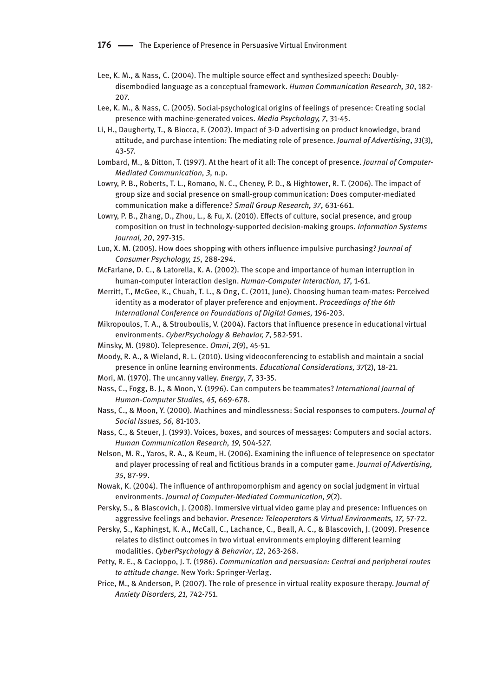**176 —** The Experience of Presence in Persuasive Virtual Environment

- Lee, K. M., & Nass, C. (2004). The multiple source effect and synthesized speech: Doublydisembodied language as a conceptual framework. *Human Communication Research, 30*, 182- 207.
- Lee, K. M., & Nass, C. (2005). Social-psychological origins of feelings of presence: Creating social presence with machine-generated voices. *Media Psychology, 7*, 31-45.
- Li, H., Daugherty, T., & Biocca, F. (2002). Impact of 3-D advertising on product knowledge, brand attitude, and purchase intention: The mediating role of presence. *Journal of Advertising*, *31*(3), 43-57.
- Lombard, M., & Ditton, T. (1997). At the heart of it all: The concept of presence. *Journal of Computer-Mediated Communication, 3,* n.p.
- Lowry, P. B., Roberts, T. L., Romano, N. C., Cheney, P. D., & Hightower, R. T. (2006). The impact of group size and social presence on small-group communication: Does computer-mediated communication make a difference? *Small Group Research, 37*, 631-661.
- Lowry, P. B., Zhang, D., Zhou, L., & Fu, X. (2010). Effects of culture, social presence, and group composition on trust in technology-supported decision-making groups. *Information Systems Journal, 20*, 297-315.
- Luo, X. M. (2005). How does shopping with others influence impulsive purchasing? *Journal of Consumer Psychology, 15*, 288-294.
- McFarlane, D. C., & Latorella, K. A. (2002). The scope and importance of human interruption in human-computer interaction design. *Human-Computer Interaction, 17,* 1-61.
- Merritt, T., McGee, K., Chuah, T. L., & Ong, C. (2011, June). Choosing human team-mates: Perceived identity as a moderator of player preference and enjoyment. *Proceedings of the 6th International Conference on Foundations of Digital Games,* 196-203.
- Mikropoulos, T. A., & Strouboulis, V. (2004). Factors that influence presence in educational virtual environments. *CyberPsychology & Behavior, 7*, 582-591.
- Minsky, M. (1980). Telepresence. *Omni*, *2*(9), 45-51.
- Moody, R. A., & Wieland, R. L. (2010). Using videoconferencing to establish and maintain a social presence in online learning environments. *Educational Considerations, 37*(2), 18-21.
- Mori, M. (1970). The uncanny valley. *Energy*, *7*, 33-35.
- Nass, C., Fogg, B. J., & Moon, Y. (1996). Can computers be teammates? *International Journal of Human-Computer Studies, 45,* 669-678.
- Nass, C., & Moon, Y. (2000). Machines and mindlessness: Social responses to computers. *Journal of Social Issues, 56,* 81-103.
- Nass, C., & Steuer, J. (1993). Voices, boxes, and sources of messages: Computers and social actors. *Human Communication Research, 19,* 504-527.
- Nelson, M. R., Yaros, R. A., & Keum, H. (2006). Examining the influence of telepresence on spectator and player processing of real and fictitious brands in a computer game. *Journal of Advertising, 35*, 87-99.
- Nowak, K. (2004). The influence of anthropomorphism and agency on social judgment in virtual environments. *Journal of Computer-Mediated Communication, 9*(2).
- Persky, S., & Blascovich, J. (2008). Immersive virtual video game play and presence: Influences on aggressive feelings and behavior. *Presence: Teleoperators & Virtual Environments, 17,* 57-72.
- Persky, S., Kaphingst, K. A., McCall, C., Lachance, C., Beall, A. C., & Blascovich, J. (2009). Presence relates to distinct outcomes in two virtual environments employing different learning modalities. *CyberPsychology & Behavior*, *12*, 263-268.
- Petty, R. E., & Cacioppo, J. T. (1986). *Communication and persuasion: Central and peripheral routes to attitude change*. New York: Springer-Verlag.
- Price, M., & Anderson, P. (2007). The role of presence in virtual reality exposure therapy. *Journal of Anxiety Disorders, 21,* 742-751.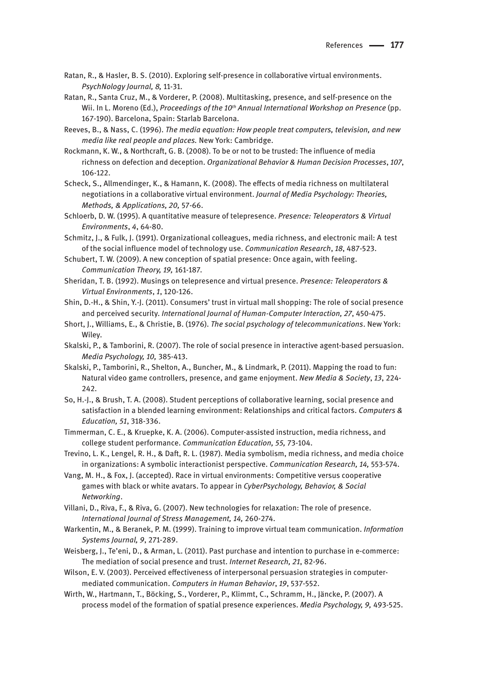- Ratan, R., & Hasler, B. S. (2010). Exploring self-presence in collaborative virtual environments. *PsychNology Journal, 8,* 11-31.
- Ratan, R., Santa Cruz, M., & Vorderer, P. (2008). Multitasking, presence, and self-presence on the Wii. In L. Moreno (Ed.), *Proceedings of the 10<sup>th</sup> Annual International Workshop on Presence* (pp. 167-190). Barcelona, Spain: Starlab Barcelona.
- Reeves, B., & Nass, C. (1996). *The media equation: How people treat computers, television, and new media like real people and places.* New York: Cambridge.
- Rockmann, K. W., & Northcraft, G. B. (2008). To be or not to be trusted: The influence of media richness on defection and deception. *Organizational Behavior & Human Decision Processes*, *107*, 106-122.
- Scheck, S., Allmendinger, K., & Hamann, K. (2008). The effects of media richness on multilateral negotiations in a collaborative virtual environment. *Journal of Media Psychology: Theories, Methods, & Applications, 20,* 57-66.
- Schloerb, D. W. (1995). A quantitative measure of telepresence. *Presence: Teleoperators & Virtual Environments*, *4*, 64-80.
- Schmitz, J., & Fulk, J. (1991). Organizational colleagues, media richness, and electronic mail: A test of the social influence model of technology use. *Communication Research*, *18*, 487-523.
- Schubert, T. W. (2009). A new conception of spatial presence: Once again, with feeling. *Communication Theory, 19,* 161-187.
- Sheridan, T. B. (1992). Musings on telepresence and virtual presence. *Presence: Teleoperators & Virtual Environments*, *1*, 120-126.
- Shin, D.-H., & Shin, Y.-J. (2011). Consumers' trust in virtual mall shopping: The role of social presence and perceived security. *International Journal of Human-Computer Interaction, 27*, 450-475.
- Short, J., Williams, E., & Christie, B. (1976). *The social psychology of telecommunications*. New York: Wiley.
- Skalski, P., & Tamborini, R. (2007). The role of social presence in interactive agent-based persuasion. *Media Psychology, 10,* 385-413.
- Skalski, P., Tamborini, R., Shelton, A., Buncher, M., & Lindmark, P. (2011). Mapping the road to fun: Natural video game controllers, presence, and game enjoyment. *New Media & Society*, *13*, 224- 242.
- So, H.-J., & Brush, T. A. (2008). Student perceptions of collaborative learning, social presence and satisfaction in a blended learning environment: Relationships and critical factors. *Computers & Education, 51*, 318-336.
- Timmerman, C. E., & Kruepke, K. A. (2006). Computer-assisted instruction, media richness, and college student performance. *Communication Education, 55,* 73-104.
- Trevino, L. K., Lengel, R. H., & Daft, R. L. (1987). Media symbolism, media richness, and media choice in organizations: A symbolic interactionist perspective. *Communication Research, 14,* 553-574.
- Vang, M. H., & Fox, J. (accepted). Race in virtual environments: Competitive versus cooperative games with black or white avatars. To appear in *CyberPsychology, Behavior, & Social Networking*.
- Villani, D., Riva, F., & Riva, G. (2007). New technologies for relaxation: The role of presence. *International Journal of Stress Management, 14,* 260-274.
- Warkentin, M., & Beranek, P. M. (1999). Training to improve virtual team communication. *Information Systems Journal, 9*, 271-289.
- Weisberg, J., Te'eni, D., & Arman, L. (2011). Past purchase and intention to purchase in e-commerce: The mediation of social presence and trust. *Internet Research, 21*, 82-96.
- Wilson, E. V. (2003). Perceived effectiveness of interpersonal persuasion strategies in computermediated communication. *Computers in Human Behavior*, *19*, 537-552.
- Wirth, W., Hartmann, T., Böcking, S., Vorderer, P., Klimmt, C., Schramm, H., Jäncke, P. (2007). A process model of the formation of spatial presence experiences. *Media Psychology, 9,* 493-525.